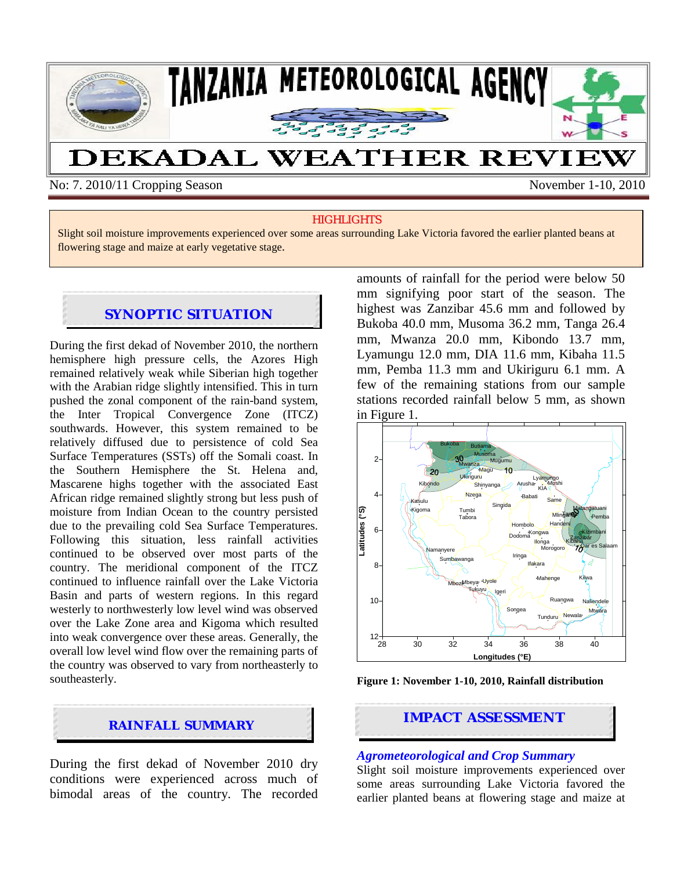

No: 7. 2010/11 Cropping Season November 1-10, 2010

#### **HIGHLIGHTS**

Slight soil moisture improvements experienced over some areas surrounding Lake Victoria favored the earlier planted beans at flowering stage and maize at early vegetative stage.

## **SYNOPTIC SITUATION**

During the first dekad of November 2010, the northern hemisphere high pressure cells, the Azores High remained relatively weak while Siberian high together with the Arabian ridge slightly intensified. This in turn pushed the zonal component of the rain-band system, the Inter Tropical Convergence Zone (ITCZ) southwards. However, this system remained to be relatively diffused due to persistence of cold Sea Surface Temperatures (SSTs) off the Somali coast. In the Southern Hemisphere the St. Helena and, Mascarene highs together with the associated East African ridge remained slightly strong but less push of moisture from Indian Ocean to the country persisted due to the prevailing cold Sea Surface Temperatures. Following this situation, less rainfall activities continued to be observed over most parts of the country. The meridional component of the ITCZ continued to influence rainfall over the Lake Victoria Basin and parts of western regions. In this regard westerly to northwesterly low level wind was observed over the Lake Zone area and Kigoma which resulted into weak convergence over these areas. Generally, the overall low level wind flow over the remaining parts of the country was observed to vary from northeasterly to southeasterly.



During the first dekad of November 2010 dry conditions were experienced across much of bimodal areas of the country. The recorded amounts of rainfall for the period were below 50 mm signifying poor start of the season. The highest was Zanzibar 45.6 mm and followed by Bukoba 40.0 mm, Musoma 36.2 mm, Tanga 26.4 mm, Mwanza 20.0 mm, Kibondo 13.7 mm, Lyamungu 12.0 mm, DIA 11.6 mm, Kibaha 11.5 mm, Pemba 11.3 mm and Ukiriguru 6.1 mm. A few of the remaining stations from our sample stations recorded rainfall below 5 mm, as shown in Figure 1.



**Figure 1: November 1-10, 2010, Rainfall distribution** 

# **IMPACT ASSESSMENT RAINFALL SUMMARY**

#### *Agrometeorological and Crop Summary*

Slight soil moisture improvements experienced over some areas surrounding Lake Victoria favored the earlier planted beans at flowering stage and maize at